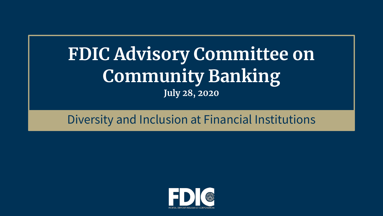## **FDIC Advisory Committee on Community Banking July 28, 2020**

#### Diversity and Inclusion at Financial Institutions

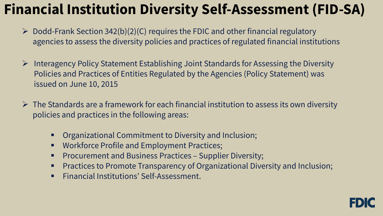### **Financial Institution Diversity Self-Assessment (FID-SA)**

- $\triangleright$  Dodd-Frank Section 342(b)(2)(C) requires the FDIC and other financial regulatory agencies to assess the diversity policies and practices of regulated financial institutions
- $\triangleright$  Interagency Policy Statement Establishing Joint Standards for Assessing the Diversity Policies and Practices of Entities Regulated by the Agencies (Policy Statement) was issued on June 10, 2015
- $\triangleright$  The Standards are a framework for each financial institution to assess its own diversity policies and practices in the following areas:
	- Organizational Commitment to Diversity and Inclusion;
	- Workforce Profile and Employment Practices;
	- **Procurement and Business Practices Supplier Diversity;**
	- **Practices to Promote Transparency of Organizational Diversity and Inclusion;**
	- Financial Institutions' Self-Assessment.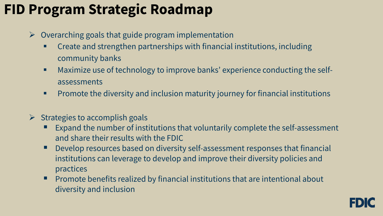#### **FID Program Strategic Roadmap**

- $\triangleright$  Overarching goals that guide program implementation
	- Create and strengthen partnerships with financial institutions, including community banks
	- Maximize use of technology to improve banks' experience conducting the selfassessments
	- j **Promote the diversity and inclusion maturity journey for financial institutions**
- $\triangleright$  Strategies to accomplish goals
	- Expand the number of institutions that voluntarily complete the self-assessment and share their results with the FDIC
	- Develop resources based on diversity self-assessment responses that financial institutions can leverage to develop and improve their diversity policies and practices
	- **Promote benefits realized by financial institutions that are intentional about** diversity and inclusion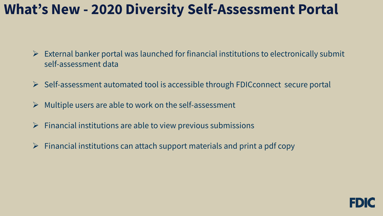#### **What's New - 2020 Diversity Self-Assessment Portal**

- $\triangleright$  External banker portal was launched for financial institutions to electronically submit self-assessment data
- $\triangleright$  Self-assessment automated tool is accessible through FDICconnect secure portal
- $\triangleright$  Multiple users are able to work on the self-assessment
- $\triangleright$  Financial institutions are able to view previous submissions
- $\triangleright$  Financial institutions can attach support materials and print a pdf copy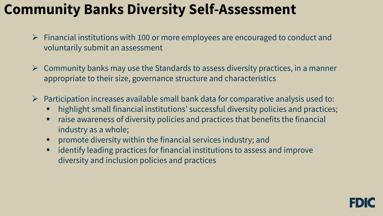#### **Community Banks Diversity Self-Assessment**

- $\triangleright$  Financial institutions with 100 or more employees are encouraged to conduct and voluntarily submit an assessment
- $\triangleright$  Community banks may use the Standards to assess diversity practices, in a manner appropriate to their size, governance structure and characteristics
- $\triangleright$  Participation increases available small bank data for comparative analysis used to:
	- highlight small financial institutions' successful diversity policies and practices;
	- **The audies and set of the absorpt** raise and practices that benefits the financial industry as a whole;
	- **•** promote diversity within the financial services industry; and
	- $\frac{1}{2}$  diversity and inclusion policies and practices identify leading practices for financial institutions to assess and improve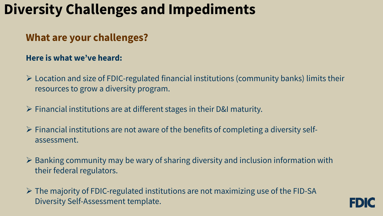#### **Diversity Challenges and Impediments**

#### **What are your challenges?**

#### **Here is what we've heard:**

- resources to grow a diversity program.  $\triangleright$  Location and size of FDIC-regulated financial institutions (community banks) limits their
- $\triangleright$  Financial institutions are at different stages in their D&I maturity.
- $\triangleright$  Financial institutions are not aware of the benefits of completing a diversity selfassessment.
- $\triangleright$  Banking community may be wary of sharing diversity and inclusion information with their federal regulators.
- The majority of FDIC-regulated institutions are not maximizing use of the FID-SA Diversity Self-Assessment template.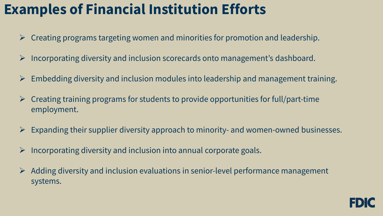#### **Examples of Financial Institution Efforts**

- $\triangleright$  Creating programs targeting women and minorities for promotion and leadership.
- $\triangleright$  Incorporating diversity and inclusion scorecards onto management's dashboard.
- $\triangleright$  Embedding diversity and inclusion modules into leadership and management training.
- $\triangleright$  Creating training programs for students to provide opportunities for full/part-time employment.
- $\triangleright$  Expanding their supplier diversity approach to minority- and women-owned businesses.
- $\triangleright$  Incorporating diversity and inclusion into annual corporate goals.
- $\triangleright$  Adding diversity and inclusion evaluations in senior-level performance management systems.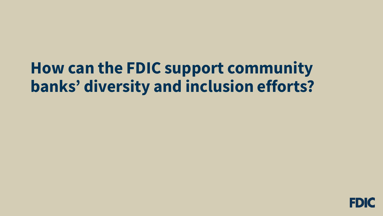# **How can the FDIC support community banks' diversity and inclusion efforts?**